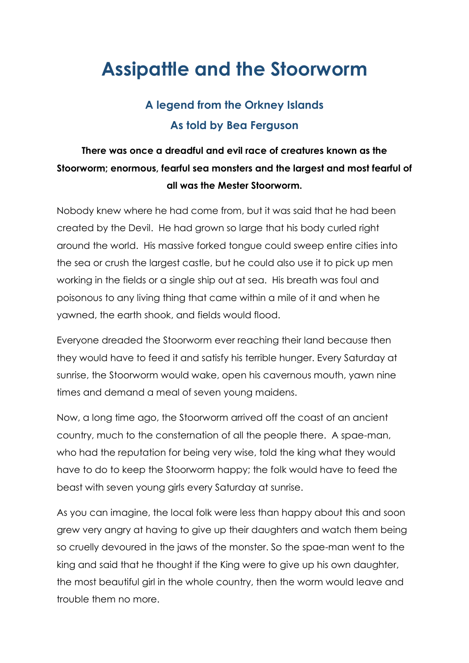## **Assipattle and the Stoorworm**

## **A legend from the Orkney Islands As told by Bea Ferguson**

## **There was once a dreadful and evil race of creatures known as the Stoorworm; enormous, fearful sea monsters and the largest and most fearful of all was the Mester Stoorworm.**

Nobody knew where he had come from, but it was said that he had been created by the Devil. He had grown so large that his body curled right around the world. His massive forked tongue could sweep entire cities into the sea or crush the largest castle, but he could also use it to pick up men working in the fields or a single ship out at sea. His breath was foul and poisonous to any living thing that came within a mile of it and when he yawned, the earth shook, and fields would flood.

Everyone dreaded the Stoorworm ever reaching their land because then they would have to feed it and satisfy his terrible hunger. Every Saturday at sunrise, the Stoorworm would wake, open his cavernous mouth, yawn nine times and demand a meal of seven young maidens.

Now, a long time ago, the Stoorworm arrived off the coast of an ancient country, much to the consternation of all the people there. A spae-man, who had the reputation for being very wise, told the king what they would have to do to keep the Stoorworm happy; the folk would have to feed the beast with seven young girls every Saturday at sunrise.

As you can imagine, the local folk were less than happy about this and soon grew very angry at having to give up their daughters and watch them being so cruelly devoured in the jaws of the monster. So the spae-man went to the king and said that he thought if the King were to give up his own daughter, the most beautiful girl in the whole country, then the worm would leave and trouble them no more.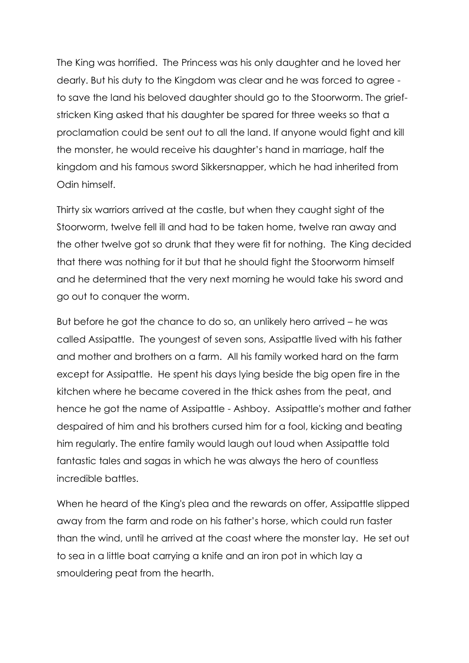The King was horrified. The Princess was his only daughter and he loved her dearly. But his duty to the Kingdom was clear and he was forced to agree to save the land his beloved daughter should go to the Stoorworm. The griefstricken King asked that his daughter be spared for three weeks so that a proclamation could be sent out to all the land. If anyone would fight and kill the monster, he would receive his daughter's hand in marriage, half the kingdom and his famous sword Sikkersnapper, which he had inherited from Odin himself.

Thirty six warriors arrived at the castle, but when they caught sight of the Stoorworm, twelve fell ill and had to be taken home, twelve ran away and the other twelve got so drunk that they were fit for nothing. The King decided that there was nothing for it but that he should fight the Stoorworm himself and he determined that the very next morning he would take his sword and go out to conquer the worm.

But before he got the chance to do so, an unlikely hero arrived – he was called Assipattle. The youngest of seven sons, Assipattle lived with his father and mother and brothers on a farm. All his family worked hard on the farm except for Assipattle. He spent his days lying beside the big open fire in the kitchen where he became covered in the thick ashes from the peat, and hence he got the name of Assipattle - Ashboy. Assipattle's mother and father despaired of him and his brothers cursed him for a fool, kicking and beating him regularly. The entire family would laugh out loud when Assipattle told fantastic tales and sagas in which he was always the hero of countless incredible battles.

When he heard of the King's plea and the rewards on offer, Assipattle slipped away from the farm and rode on his father's horse, which could run faster than the wind, until he arrived at the coast where the monster lay. He set out to sea in a little boat carrying a knife and an iron pot in which lay a smouldering peat from the hearth.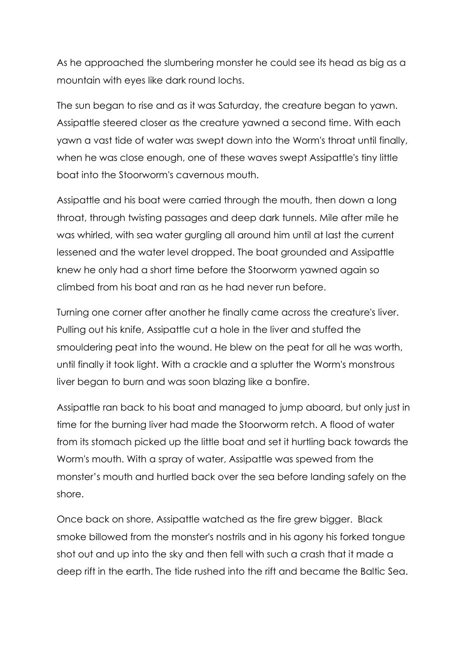As he approached the slumbering monster he could see its head as big as a mountain with eyes like dark round lochs.

The sun began to rise and as it was Saturday, the creature began to yawn. Assipattle steered closer as the creature yawned a second time. With each yawn a vast tide of water was swept down into the Worm's throat until finally, when he was close enough, one of these waves swept Assipattle's tiny little boat into the Stoorworm's cavernous mouth.

Assipattle and his boat were carried through the mouth, then down a long throat, through twisting passages and deep dark tunnels. Mile after mile he was whirled, with sea water gurgling all around him until at last the current lessened and the water level dropped. The boat grounded and Assipattle knew he only had a short time before the Stoorworm yawned again so climbed from his boat and ran as he had never run before.

Turning one corner after another he finally came across the creature's liver. Pulling out his knife, Assipattle cut a hole in the liver and stuffed the smouldering peat into the wound. He blew on the peat for all he was worth, until finally it took light. With a crackle and a splutter the Worm's monstrous liver began to burn and was soon blazing like a bonfire.

Assipattle ran back to his boat and managed to jump aboard, but only just in time for the burning liver had made the Stoorworm retch. A flood of water from its stomach picked up the little boat and set it hurtling back towards the Worm's mouth. With a spray of water, Assipattle was spewed from the monster's mouth and hurtled back over the sea before landing safely on the shore.

Once back on shore, Assipattle watched as the fire grew bigger. Black smoke billowed from the monster's nostrils and in his agony his forked tongue shot out and up into the sky and then fell with such a crash that it made a deep rift in the earth. The tide rushed into the rift and became the Baltic Sea.